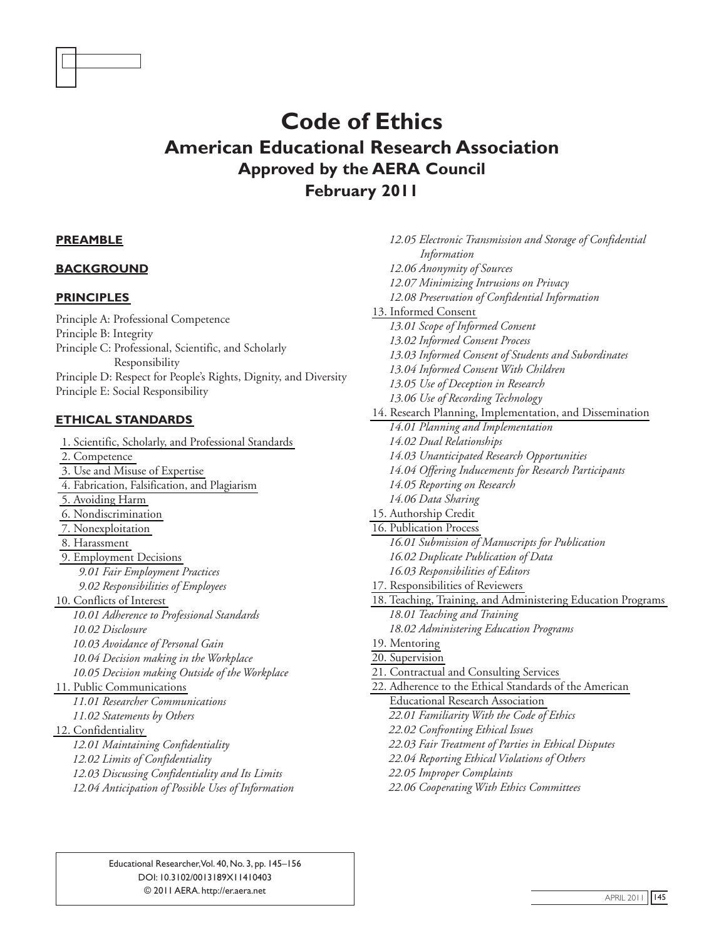

# **Code of Ethics American Educational Research Association Approved by the AERA Council February 2011**

# **[PREAMBLE](#page-1-0)**

# **[BACKGROUND](#page-1-0)**

## **[PRINCIPLES](#page-1-0)**

Principle A: Professional Competence Principle B: Integrity Principle C: Professional, Scientific, and Scholarly Responsibility Principle D: Respect for People's Rights, Dignity, and Diversity Principle E: Social Responsibility

# **[ETHICAL STANDARDS](#page-2-0)**

- 1. Scientific, Scholarly, and [Professional](#page-2-0) Standards
- [2. Competence](#page-2-0)
- 3. Use and Misuse of [Expertise](#page-2-0)
- 4. Fabrication, [Falsification,](#page-2-0) and Plagiarism
- 5. [Avoiding](#page-2-0) Harm
- 6. [Nondiscrimination](#page-2-0)
- 7. [Nonexploitation](#page-2-0)
- 8. [Harassment](#page-3-0)
- 9. [Employment](#page-3-0) Decisions  *9.01 Fair Employment Practices 9.02 Responsibilities of Employees*
- 10. [Conflicts](#page-3-0) of Interest
	- *10.01 Adherence to Professional Standards 10.02 Disclosure 10.03 Avoidance of Personal Gain*
	- *10.04 Decision making in the Workplace 10.05 Decision making Outside of the Workplace*
- 11. Public [Communications](#page-4-0)  *11.01 Researcher Communications 11.02 Statements by Others*
- 12. [Confidentiality](#page-4-0)
	- *12.01 Maintaining Confidentiality*
	- *12.02 Limits of Confidentiality*
	- *12.03 Discussing Confidentiality and Its Limits*
	- *12.04 Anticipation of Possible Uses of Information*

 *12.05 Electronic Transmission and Storage of Confidential Information 12.06 Anonymity of Sources 12.07 Minimizing Intrusions on Privacy 12.08 Preservation of Confidential Information* 13. [Informed](#page-6-0) Consent  *13.01 Scope of Informed Consent 13.02 Informed Consent Process 13.03 Informed Consent of Students and Subordinates 13.04 Informed Consent With Children 13.05 Use of Deception in Research 13.06 Use of Recording Technology* 14. Research Planning, [Implementation,](#page-7-0) and Dissemination  *14.01 Planning and Implementation 14.02 Dual Relationships 14.03 Unanticipated Research Opportunities 14.04 Offering Inducements for Research Participants 14.05 Reporting on Research 14.06 Data Sharing* 15. [Authorship](#page-8-0) Credit 16. [Publication](#page-9-0) Process  *16.01 Submission of Manuscripts for Publication 16.02 Duplicate Publication of Data 16.03 Responsibilities of Editors* 17. [Responsibilities](#page-9-0) of Reviewers 18. Teaching, Training, and [Administering](#page-9-0) Education Programs  *18.01 Teaching and Training 18.02 Administering Education Programs* 19. [Mentoring](#page-10-0) 20. [Supervision](#page-10-0) 21. [Contractual](#page-10-0) and Consulting Services  [22. Adherence](#page-10-0) to the Ethical Standards of the American [Educational](#page-10-0) Research Association  *22.01 Familiarity With the Code of Ethics 22.02 Confronting Ethical Issues 22.03 Fair Treatment of Parties in Ethical Disputes 22.04 Reporting Ethical Violations of Others 22.05 Improper Complaints 22.06 Cooperating With Ethics Committees*

Educational Researcher, Vol. 40, No. 3, pp. 145–156 DOI: 10.3102/0013189X11410403  $\bigcirc$  2011 AERA. http://er.aera.net application application application application application application application application application application application application application application application appli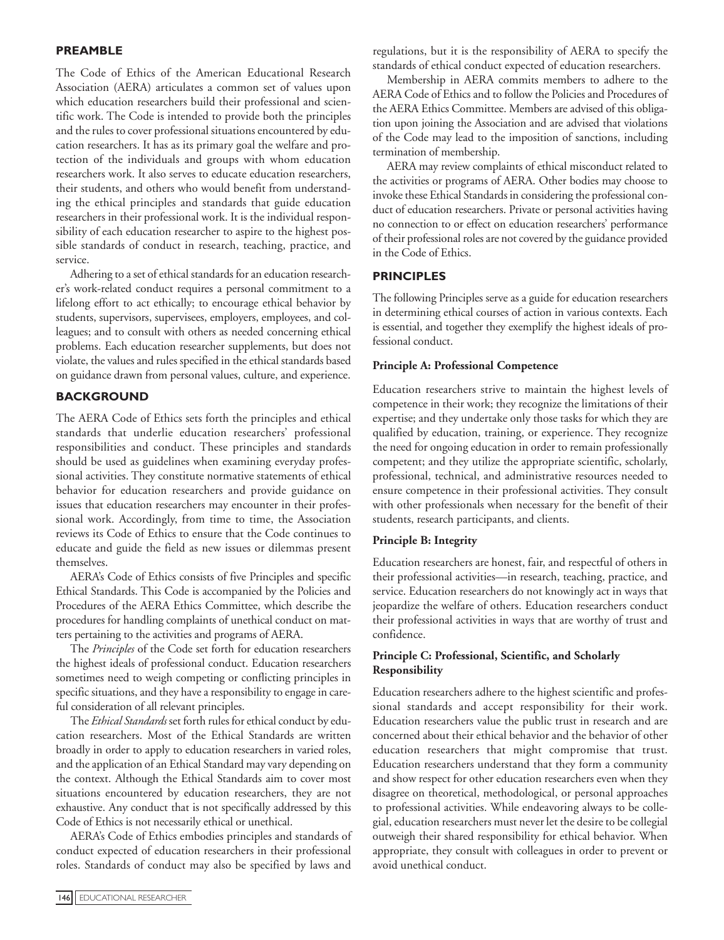## <span id="page-1-0"></span>**PREAMBLE**

The Code of Ethics of the American Educational Research Association (AERA) articulates a common set of values upon which education researchers build their professional and scientific work. The Code is intended to provide both the principles and the rules to cover professional situations encountered by education researchers. It has as its primary goal the welfare and protection of the individuals and groups with whom education researchers work. It also serves to educate education researchers, their students, and others who would benefit from understanding the ethical principles and standards that guide education researchers in their professional work. It is the individual responsibility of each education researcher to aspire to the highest possible standards of conduct in research, teaching, practice, and service.

Adhering to a set of ethical standards for an education researcher's work-related conduct requires a personal commitment to a lifelong effort to act ethically; to encourage ethical behavior by students, supervisors, supervisees, employers, employees, and colleagues; and to consult with others as needed concerning ethical problems. Each education researcher supplements, but does not violate, the values and rules specified in the ethical standards based on guidance drawn from personal values, culture, and experience.

#### **BACKGROUND**

The AERA Code of Ethics sets forth the principles and ethical standards that underlie education researchers' professional responsibilities and conduct. These principles and standards should be used as guidelines when examining everyday professional activities. They constitute normative statements of ethical behavior for education researchers and provide guidance on issues that education researchers may encounter in their professional work. Accordingly, from time to time, the Association reviews its Code of Ethics to ensure that the Code continues to educate and guide the field as new issues or dilemmas present themselves.

AERA's Code of Ethics consists of five Principles and specific Ethical Standards. This Code is accompanied by the Policies and Procedures of the AERA Ethics Committee, which describe the procedures for handling complaints of unethical conduct on matters pertaining to the activities and programs of AERA.

The *Principles* of the Code set forth for education researchers the highest ideals of professional conduct. Education researchers sometimes need to weigh competing or conflicting principles in specific situations, and they have a responsibility to engage in careful consideration of all relevant principles.

The *Ethical Standards* set forth rules forethical conduct by education researchers. Most of the Ethical Standards are written broadly in order to apply to education researchers in varied roles, and the application of an Ethical Standard may vary depending on the context. Although the Ethical Standards aim to cover most situations encountered by education researchers, they are not exhaustive. Any conduct that is not specifically addressed by this Code of Ethics is not necessarily ethical or unethical.

AERA's Code of Ethics embodies principles and standards of conduct expected of education researchers in their professional roles. Standards of conduct may also be specified by laws and

regulations, but it is the responsibility of AERA to specify the standards of ethical conduct expected of education researchers.

Membership in AERA commits members to adhere to the AERA Code of Ethics and to follow the Policies and Procedures of the AERA Ethics Committee. Members are advised of this obligation upon joining the Association and are advised that violations of the Code may lead to the imposition of sanctions, including termination of membership.

AERA may review complaints of ethical misconduct related to the activities or programs of AERA. Other bodies may choose to invoke these Ethical Standards in considering the professional conduct of education researchers. Private or personal activities having no connection to or effect on education researchers' performance of their professional roles are not covered by the guidance provided in the Code of Ethics.

#### **PRINCIPLES**

The following Principles serve as a guide for education researchers in determining ethical courses of action in various contexts. Each is essential, and together they exemplify the highest ideals of professional conduct.

#### **Principle A: Professional Competence**

Education researchers strive to maintain the highest levels of competence in their work; they recognize the limitations of their expertise; and they undertake only those tasks for which they are qualified by education, training, or experience. They recognize the need for ongoing education in order to remain professionally competent; and they utilize the appropriate scientific, scholarly, professional, technical, and administrative resources needed to ensure competence in their professional activities. They consult with other professionals when necessary for the benefit of their students, research participants, and clients.

#### **Principle B: Integrity**

Education researchers are honest, fair, and respectful of others in their professional activities—in research, teaching, practice, and service. Education researchers do not knowingly act in ways that jeopardize the welfare of others. Education researchers conduct their professional activities in ways that are worthy of trust and confidence.

## **Principle C: Professional, Scientific, and Scholarly Responsibility**

Education researchers adhere to the highest scientific and professional standards and accept responsibility for their work. Education researchers value the public trust in research and are concerned about their ethical behavior and the behavior of other education researchers that might compromise that trust. Education researchers understand that they form a community and show respect for other education researchers even when they disagree on theoretical, methodological, or personal approaches to professional activities. While endeavoring always to be collegial, education researchers must never let the desire to be collegial outweigh their shared responsibility for ethical behavior. When appropriate, they consult with colleagues in order to prevent or avoid unethical conduct.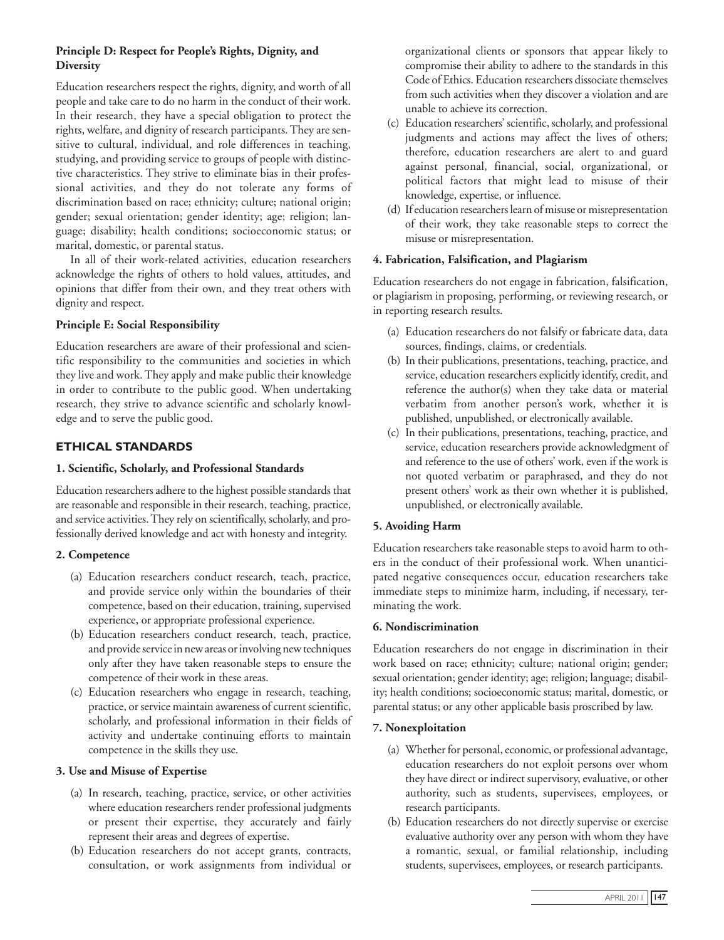# <span id="page-2-0"></span>**Principle D: Respect for People's Rights, Dignity, and Diversity**

Education researchers respect the rights, dignity, and worth of all people and take care to do no harm in the conduct of their work. In their research, they have a special obligation to protect the rights, welfare, and dignity of research participants. They are sensitive to cultural, individual, and role differences in teaching, studying, and providing service to groups of people with distinctive characteristics. They strive to eliminate bias in their professional activities, and they do not tolerate any forms of discrimination based on race; ethnicity; culture; national origin; gender; sexual orientation; gender identity; age; religion; language; disability; health conditions; socioeconomic status; or marital, domestic, or parental status.

In all of their work-related activities, education researchers acknowledge the rights of others to hold values, attitudes, and opinions that differ from their own, and they treat others with dignity and respect.

# **Principle E: Social Responsibility**

Education researchers are aware of their professional and scientific responsibility to the communities and societies in which they live and work.They apply and make public their knowledge in order to contribute to the public good. When undertaking research, they strive to advance scientific and scholarly knowledge and to serve the public good.

# **ETHICAL STANDARDS**

# **1. Scientific, Scholarly, and Professional Standards**

Education researchers adhere to the highest possible standards that are reasonable and responsible in their research, teaching, practice, and service activities.They rely on scientifically, scholarly, and professionally derived knowledge and act with honesty and integrity.

# **2. Competence**

- (a) Education researchers conduct research, teach, practice, and provide service only within the boundaries of their competence, based on their education, training, supervised experience, or appropriate professional experience.
- (b) Education researchers conduct research, teach, practice, and provide service in new areas or involving new techniques only after they have taken reasonable steps to ensure the competence of their work in these areas.
- (c) Education researchers who engage in research, teaching, practice, or service maintain awareness of current scientific, scholarly, and professional information in their fields of activity and undertake continuing efforts to maintain competence in the skills they use.

# **3. Use and Misuse of Expertise**

- (a) In research, teaching, practice, service, or other activities where education researchers render professional judgments or present their expertise, they accurately and fairly represent their areas and degrees of expertise.
- (b) Education researchers do not accept grants, contracts, consultation, or work assignments from individual or

organizational clients or sponsors that appear likely to compromise their ability to adhere to the standards in this Code of Ethics. Education researchers dissociate themselves from such activities when they discover a violation and are unable to achieve its correction.

- (c) Education researchers' scientific, scholarly, and professional judgments and actions may affect the lives of others; therefore, education researchers are alert to and guard against personal, financial, social, organizational, or political factors that might lead to misuse of their knowledge, expertise, or influence.
- (d) If education researchers learn of misuse or misrepresentation of their work, they take reasonable steps to correct the misuse or misrepresentation.

# **4. Fabrication, Falsification, and Plagiarism**

Education researchers do not engage in fabrication, falsification, or plagiarism in proposing, performing, or reviewing research, or in reporting research results.

- (a) Education researchers do not falsify or fabricate data, data sources, findings, claims, or credentials.
- (b) In their publications, presentations, teaching, practice, and service, education researchers explicitly identify, credit, and reference the author(s) when they take data or material verbatim from another person's work, whether it is published, unpublished, or electronically available.
- (c) In their publications, presentations, teaching, practice, and service, education researchers provide acknowledgment of and reference to the use of others' work, even if the work is not quoted verbatim or paraphrased, and they do not present others' work as their own whether it is published, unpublished, or electronically available.

# **5. Avoiding Harm**

Education researchers take reasonable steps to avoid harm to others in the conduct of their professional work. When unanticipated negative consequences occur, education researchers take immediate steps to minimize harm, including, if necessary, terminating the work.

## **6. Nondiscrimination**

Education researchers do not engage in discrimination in their work based on race; ethnicity; culture; national origin; gender; sexual orientation; gender identity; age; religion; language; disability; health conditions; socioeconomic status; marital, domestic, or parental status; or any other applicable basis proscribed by law.

# **7. Nonexploitation**

- (a) Whether for personal, economic, or professional advantage, education researchers do not exploit persons over whom they have direct or indirect supervisory, evaluative, or other authority, such as students, supervisees, employees, or research participants.
- (b) Education researchers do not directly supervise or exercise evaluative authority over any person with whom they have a romantic, sexual, or familial relationship, including students, supervisees, employees, or research participants.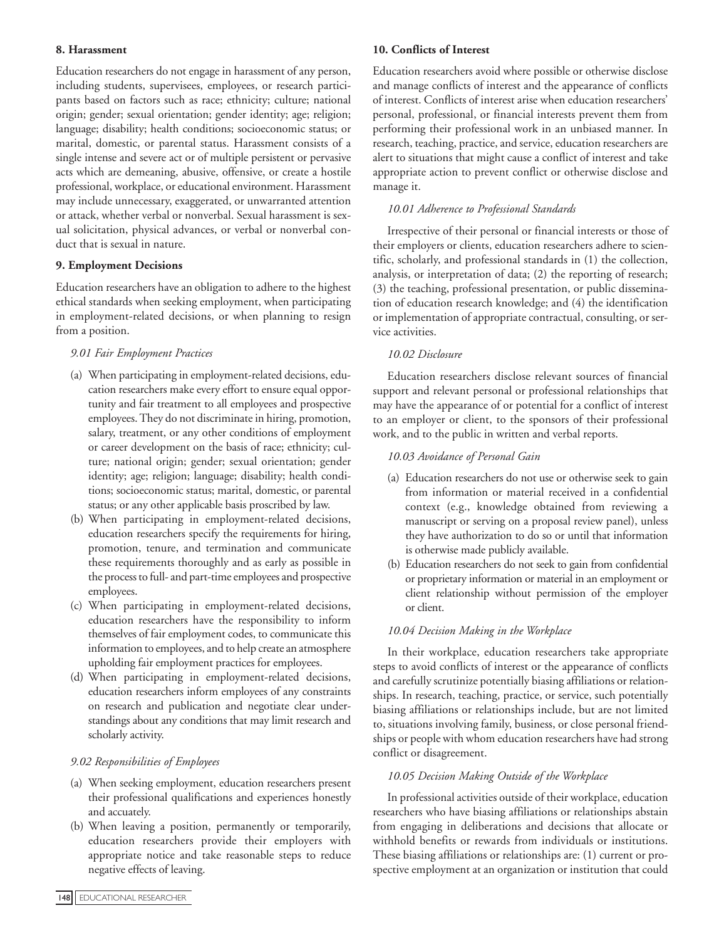#### <span id="page-3-0"></span>**8. Harassment**

Education researchers do not engage in harassment of any person, including students, supervisees, employees, or research participants based on factors such as race; ethnicity; culture; national origin; gender; sexual orientation; gender identity; age; religion; language; disability; health conditions; socioeconomic status; or marital, domestic, or parental status. Harassment consists of a single intense and severe act or of multiple persistent or pervasive acts which are demeaning, abusive, offensive, or create a hostile professional, workplace, or educational environment. Harassment may include unnecessary, exaggerated, or unwarranted attention or attack, whether verbal or nonverbal. Sexual harassment is sexual solicitation, physical advances, or verbal or nonverbal conduct that is sexual in nature.

#### **9. Employment Decisions**

Education researchers have an obligation to adhere to the highest ethical standards when seeking employment, when participating in employment-related decisions, or when planning to resign from a position.

#### *9.01 Fair Employment Practices*

- (a) When participating in employment-related decisions, education researchers make every effort to ensure equal opportunity and fair treatment to all employees and prospective employees. They do not discriminate in hiring, promotion, salary, treatment, or any other conditions of employment or career development on the basis of race; ethnicity; culture; national origin; gender; sexual orientation; gender identity; age; religion; language; disability; health conditions; socioeconomic status; marital, domestic, or parental status; or any other applicable basis proscribed by law.
- (b) When participating in employment-related decisions, education researchers specify the requirements for hiring, promotion, tenure, and termination and communicate these requirements thoroughly and as early as possible in the process to full- and part-time employees and prospective employees.
- (c) When participating in employment-related decisions, education researchers have the responsibility to inform themselves of fair employment codes, to communicate this information to employees, and to help create an atmosphere upholding fair employment practices for employees.
- (d) When participating in employment-related decisions, education researchers inform employees of any constraints on research and publication and negotiate clear under standings about any conditions that may limit research and scholarly activity.

#### *9.02 Responsibilities of Employees*

- (a) When seeking employment, education researchers present their professional qualifications and experiences honestly and accuately.
- (b) When leaving a position, permanently or temporarily, education researchers provide their employers with appropriate notice and take reasonable steps to reduce negative effects of leaving.

#### **10. Conflicts of Interest**

Education researchers avoid where possible or otherwise disclose and manage conflicts of interest and the appearance of conflicts of interest. Conflicts of interest arise when education researchers' personal, professional, or financial interests prevent them from performing their professional work in an unbiased manner. In research, teaching, practice, and service, education researchers are alert to situations that might cause a conflict of interest and take appropriate action to prevent conflict or otherwise disclose and manage it.

### *10.01 Adherence to Professional Standards*

Irrespective of their personal or financial interests or those of their employers or clients, education researchers adhere to scientific, scholarly, and professional standards in (1) the collection, analysis, or interpretation of data; (2) the reporting of research; (3) the teaching, professional presentation, or public dissemination of education research knowledge; and (4) the identification or implementation of appropriate contractual, consulting, or service activities.

#### *10.02 Disclosure*

Education researchers disclose relevant sources of financial support and relevant personal or professional relationships that may have the appearance of or potential for a conflict of interest to an employer or client, to the sponsors of their professional work, and to the public in written and verbal reports.

#### *10.03 Avoidance of Personal Gain*

- (a) Education researchers do not use or otherwise seek to gain from information or material received in a confidential context (e.g., knowledge obtained from reviewing a manuscript or serving on a proposal review panel), unless they have authorization to do so or until that information is otherwise made publicly available.
- (b) Education researchers do not seek to gain from confidential or proprietary information or material in an employment or client relationship without permission of the employer or client.

#### *10.04 Decision Making in the Workplace*

In their workplace, education researchers take appropriate steps to avoid conflicts of interest or the appearance of conflicts and carefully scrutinize potentially biasing affiliations or relationships. In research, teaching, practice, or service, such potentially biasing affiliations or relationships include, but are not limited to, situations involving family, business, or close personal friendships or people with whom education researchers have had strong conflict or disagreement.

#### *10.05 Decision Making Outside of the Workplace*

In professional activities outside of their workplace, education researchers who have biasing affiliations or relationships abstain from engaging in deliberations and decisions that allocate or withhold benefits or rewards from individuals or institutions. These biasing affiliations or relationships are: (1) current or prospective employment at an organization or institution that could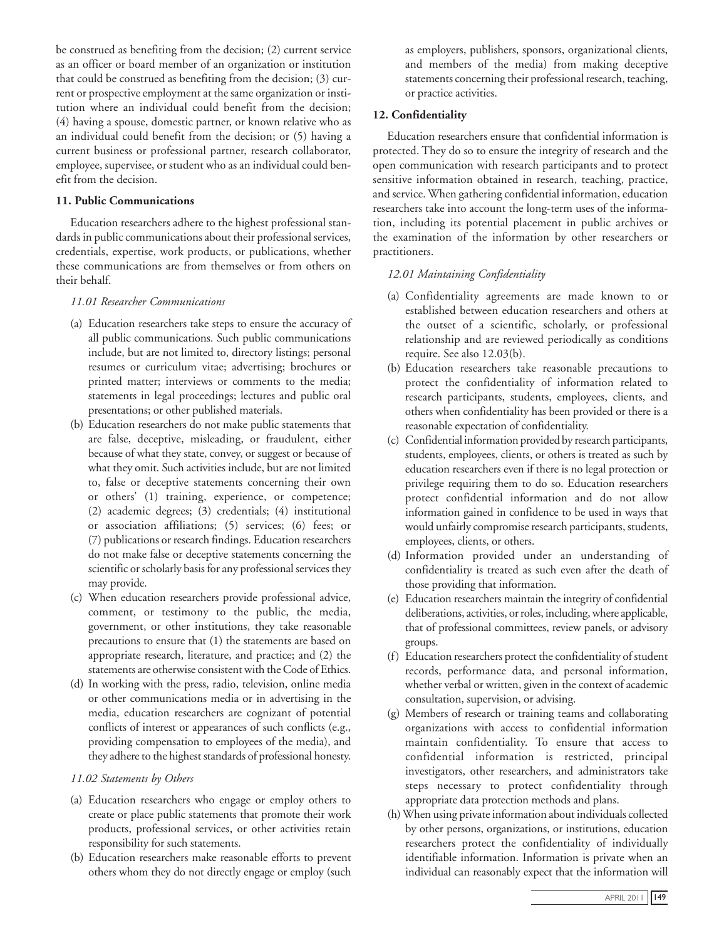<span id="page-4-0"></span>be construed as benefiting from the decision; (2) current service as an officer or board member of an organization or institution that could be construed as benefiting from the decision; (3) current or prospective employment at the same organization or institution where an individual could benefit from the decision; (4) having a spouse, domestic partner, or known relative who as an individual could benefit from the decision; or (5) having a current business or professional partner, research collaborator, employee, supervisee, or student who as an individual could benefit from the decision.

### **11. Public Communications**

Education researchers adhere to the highest professional standards in public communications about their professional services, credentials, expertise, work products, or publications, whether these communications are from themselves or from others on their behalf.

### *11.01 Researcher Communications*

- (a) Education researchers take steps to ensure the accuracy of all public communications. Such public communications include, but are not limited to, directory listings; personal resumes or curriculum vitae; advertising; brochures or printed matter; interviews or comments to the media; statements in legal proceedings; lectures and public oral presentations; or other published materials.
- (b) Education researchers do not make public statements that are false, deceptive, misleading, or fraudulent, either because of what they state, convey, or suggest or because of what they omit. Such activities include, but are not limited to, false or deceptive statements concerning their own or others' (1) training, experience, or competence; (2) academic degrees; (3) credentials; (4) institutional or association affiliations; (5) services; (6) fees; or (7) publications or research findings. Education researchers do not make false or deceptive statements concerning the scientific or scholarly basis for any professional services they may provide.
- (c) When education researchers provide professional advice, comment, or testimony to the public, the media, government, or other institutions, they take reasonable precautions to ensure that (1) the statements are based on appropriate research, literature, and practice; and (2) the statements are otherwise consistent with the Code of Ethics.
- (d) In working with the press, radio, television, online media or other communications media or in advertising in the media, education researchers are cognizant of potential conflicts of interest or appearances of such conflicts (e.g., providing compensation to employees of the media), and they adhere to the highest standards of professional honesty.

## *11.02 Statements by Others*

- (a) Education researchers who engage or employ others to create or place public statements that promote their work products, professional services, or other activities retain responsibility for such statements.
- (b) Education researchers make reasonable efforts to prevent others whom they do not directly engage or employ (such

as employers, publishers, sponsors, organizational clients, and members of the media) from making deceptive statements concerning their professional research, teaching, or practice activities.

#### **12. Confidentiality**

Education researchers ensure that confidential information is protected. They do so to ensure the integrity of research and the open communication with research participants and to protect sensitive information obtained in research, teaching, practice, and service. When gathering confidential information, education researchers take into account the long-term uses of the information, including its potential placement in public archives or the examination of the information by other researchers or practitioners.

#### *12.01 Maintaining Confidentiality*

- (a) Confidentiality agreements are made known to or established between education researchers and others at the outset of a scientific, scholarly, or professional relationship and are reviewed periodically as conditions require. See also 12.03(b).
- (b) Education researchers take reasonable precautions to protect the confidentiality of information related to research participants, students, employees, clients, and others when confidentiality has been provided or there is a reasonable expectation of confidentiality.
- (c) Confidential information provided by research participants, students, employees, clients, or others is treated as such by education researchers even if there is no legal protection or privilege requiring them to do so. Education researchers protect confidential information and do not allow information gained in confidence to be used in ways that would unfairly compromise research participants, students, employees, clients, or others.
- (d) Information provided under an understanding of confidentiality is treated as such even after the death of those providing that information.
- (e) Education researchers maintain the integrity of confidential deliberations, activities, or roles, including, where applicable, that of professional committees, review panels, or advisory groups.
- (f) Education researchers protect the confidentiality of student records, performance data, and personal information, whether verbal or written, given in the context of academic consultation, supervision, or advising.
- (g) Members of research or training teams and collaborating organizations with access to confidential information maintain confidentiality. To ensure that access to confidential information is restricted, principal investigators, other researchers, and administrators take steps necessary to protect confidentiality through appropriate data protection methods and plans.
- (h) When using private information about individuals collected by other persons, organizations, or institutions, education researchers protect the confidentiality of individually identifiable information. Information is private when an individual can reasonably expect that the information will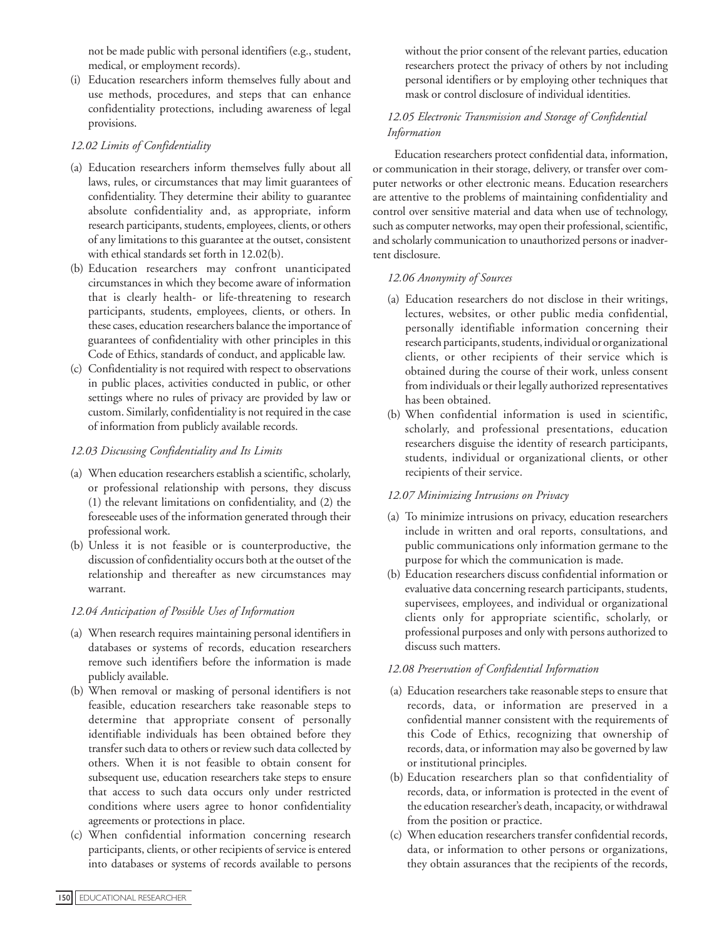not be made public with personal identifiers (e.g., student, medical, or employment records).

(i) Education researchers inform themselves fully about and use methods, procedures, and steps that can enhance confidentiality protections, including awareness of legal provisions.

# *12.02 Limits of Confidentiality*

- (a) Education researchers inform themselves fully about all laws, rules, or circumstances that may limit guarantees of confidentiality. They determine their ability to guarantee absolute confidentiality and, as appropriate, inform research participants, students, employees, clients, or others of any limitations to this guarantee at the outset, consistent with ethical standards set forth in 12.02(b).
- (b) Education researchers may confront unanticipated circumstances in which they become aware of information that is clearly health- or life-threatening to research participants, students, employees, clients, or others. In these cases, education researchers balance the importance of guarantees of confidentiality with other principles in this Code of Ethics, standards of conduct, and applicable law.
- (c) Confidentiality is not required with respect to observations in public places, activities conducted in public, or other settings where no rules of privacy are provided by law or custom. Similarly, confidentiality is not required in the case of information from publicly available records.

## *12.03 Discussing Confidentiality and Its Limits*

- (a) When education researchers establish a scientific, scholarly, or professional relationship with persons, they discuss (1) the relevant limitations on confidentiality, and (2) the foreseeable uses of the information generated through their professional work.
- (b) Unless it is not feasible or is counterproductive, the discussion of confidentiality occurs both at the outset of the relationship and thereafter as new circumstances may warrant.

## *12.04 Anticipation of Possible Uses of Information*

- (a) When research requires maintaining personal identifiers in databases or systems of records, education researchers remove such identifiers before the information is made publicly available.
- (b) When removal or masking of personal identifiers is not feasible, education researchers take reasonable steps to determine that appropriate consent of personally identifiable individuals has been obtained before they transfer such data to others or review such data collected by others. When it is not feasible to obtain consent for subsequent use, education researchers take steps to ensure that access to such data occurs only under restricted conditions where users agree to honor confidentiality agreements or protections in place.
- (c) When confidential information concerning research participants, clients, or other recipients of service is entered into databases or systems of records available to persons

without the prior consent of the relevant parties, education researchers protect the privacy of others by not including personal identifiers or by employing other techniques that mask or control disclosure of individual identities.

# *12.05 Electronic Transmission and Storage of Confidential Information*

Education researchers protect confidential data, information, or communication in their storage, delivery, or transfer over computer networks or other electronic means. Education researchers are attentive to the problems of maintaining confidentiality and control over sensitive material and data when use of technology, such as computer networks, may open their professional, scientific, and scholarly communication to unauthorized persons or inadvertent disclosure.

## *12.06 Anonymity of Sources*

- (a) Education researchers do not disclose in their writings, lectures, websites, or other public media confidential, personally identifiable information concerning their research participants, students, individual or organizational clients, or other recipients of their service which is obtained during the course of their work, unless consent from individuals or their legally authorized representatives has been obtained.
- (b) When confidential information is used in scientific, scholarly, and professional presentations, education researchers disguise the identity of research participants, students, individual or organizational clients, or other recipients of their service.

## *12.07 Minimizing Intrusions on Privacy*

- (a) To minimize intrusions on privacy, education researchers include in written and oral reports, consultations, and public communications only information germane to the purpose for which the communication is made.
- (b) Education researchers discuss confidential information or evaluative data concerning research participants, students, supervisees, employees, and individual or organizational clients only for appropriate scientific, scholarly, or professional purposes and only with persons authorized to discuss such matters.

## *12.08 Preservation of Confidential Information*

- (a) Education researchers take reasonable steps to ensure that records, data, or information are preserved in a confidential manner consistent with the requirements of this Code of Ethics, recognizing that ownership of records, data, or information may also be governed by law or institutional principles.
- (b) Education researchers plan so that confidentiality of records, data, or information is protected in the event of the education researcher's death, incapacity, or withdrawal from the position or practice.
- (c) When education researchers transfer confidential records, data, or information to other persons or organizations, they obtain assurances that the recipients of the records,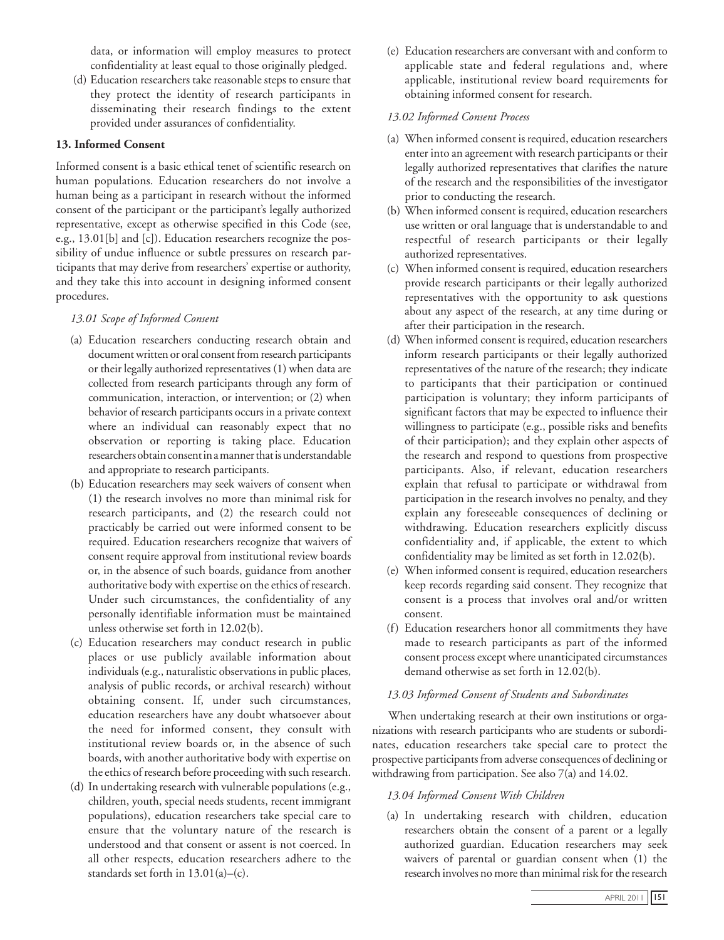<span id="page-6-0"></span>data, or information will employ measures to protect confidentiality at least equal to those originally pledged.

(d) Education researchers take reasonable steps to ensure that they protect the identity of research participants in disseminating their research findings to the extent provided under assurances of confidentiality.

# **13. Informed Consent**

Informed consent is a basic ethical tenet of scientific research on human populations. Education researchers do not involve a human being as a participant in research without the informed consent of the participant or the participant's legally authorized representative, except as otherwise specified in this Code (see, e.g., 13.01[b] and [c]). Education researchers recognize the possibility of undue influence or subtle pressures on research participants that may derive from researchers' expertise or authority, and they take this into account in designing informed consent procedures.

#### *13.01 Scope of Informed Consent*

- (a) Education researchers conducting research obtain and document written or oral consent from research participants or their legally authorized representatives (1) when data are collected from research participants through any form of communication, interaction, or intervention; or (2) when behavior of research participants occurs in a private context where an individual can reasonably expect that no observation or reporting is taking place. Education researchers obtain consent in a manner that is understandable and appropriate to research participants.
- (b) Education researchers may seek waivers of consent when (1) the research involves no more than minimal risk for research participants, and (2) the research could not practicably be carried out were informed consent to be required. Education researchers recognize that waivers of consent require approval from institutional review boards or, in the absence of such boards, guidance from another authoritative body with expertise on the ethics of research. Under such circumstances, the confidentiality of any personally identifiable information must be maintained unless otherwise set forth in 12.02(b).
- (c) Education researchers may conduct research in public places or use publicly available information about individuals (e.g., naturalistic observations in public places, analysis of public records, or archival research) without obtaining consent. If, under such circumstances, education researchers have any doubt whatsoever about the need for informed consent, they consult with institutional review boards or, in the absence of such boards, with another authoritative body with expertise on the ethics of research before proceeding with such research.
- (d) In undertaking research with vulnerable populations (e.g., children, youth, special needs students, recent immigrant populations), education researchers take special care to ensure that the voluntary nature of the research is understood and that consent or assent is not coerced. In all other respects, education researchers adhere to the standards set forth in 13.01(a)–(c).

(e) Education researchers are conversant with and conform to applicable state and federal regulations and, where applicable, institutional review board requirements for obtaining informed consent for research.

#### *13.02 Informed Consent Process*

- (a) When informed consent is required, education researchers enter into an agreement with research participants or their legally authorized representatives that clarifies the nature of the research and the responsibilities of the investigator prior to conducting the research.
- (b) When informed consent is required, education researchers use written or oral language that is understandable to and respectful of research participants or their legally authorized representatives.
- (c) When informed consent is required, education researchers provide research participants or their legally authorized representatives with the opportunity to ask questions about any aspect of the research, at any time during or after their participation in the research.
- (d) When informed consent is required, education researchers inform research participants or their legally authorized representatives of the nature of the research; they indicate to participants that their participation or continued participation is voluntary; they inform participants of significant factors that may be expected to influence their willingness to participate (e.g., possible risks and benefits of their participation); and they explain other aspects of the research and respond to questions from prospective participants. Also, if relevant, education researchers explain that refusal to participate or withdrawal from participation in the research involves no penalty, and they explain any foreseeable consequences of declining or withdrawing. Education researchers explicitly discuss confidentiality and, if applicable, the extent to which confidentiality may be limited as set forth in 12.02(b).
- (e) When informed consent is required, education researchers keep records regarding said consent. They recognize that consent is a process that involves oral and/or written consent.
- (f) Education researchers honor all commitments they have made to research participants as part of the informed consent process except where unanticipated circumstances demand otherwise as set forth in 12.02(b).

#### *13.03 Informed Consent of Students and Subordinates*

When undertaking research at their own institutions or organizations with research participants who are students or subordinates, education researchers take special care to protect the prospective participants from adverse consequences of declining or withdrawing from participation. See also 7(a) and 14.02.

### *13.04 Informed Consent With Children*

(a) In undertaking research with children, education researchers obtain the consent of a parent or a legally authorized guardian. Education researchers may seek waivers of parental or guardian consent when (1) the research involves no more than minimal risk for the research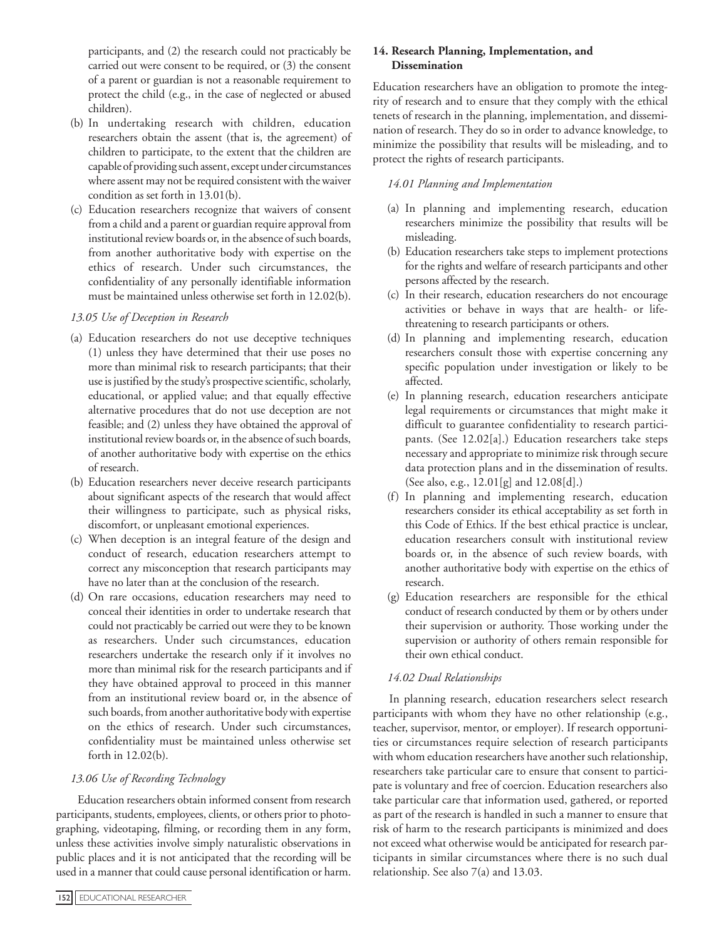<span id="page-7-0"></span>participants, and (2) the research could not practicably be carried out were consent to be required, or (3) the consent of a parent or guardian is not a reasonable requirement to protect the child (e.g., in the case of neglected or abused children).

- (b) In undertaking research with children, education researchers obtain the assent (that is, the agreement) of children to participate, to the extent that the children are capable of providing such assent, except under circumstances where assent may not be required consistent with the waiver condition as set forth in 13.01(b).
- (c) Education researchers recognize that waivers of consent from a child and a parent or guardian require approval from institutional review boards or, in the absence of such boards, from another authoritative body with expertise on the ethics of research. Under such circumstances, the confidentiality of any personally identifiable information must be maintained unless otherwise set forth in 12.02(b).

# *13.05 Use of Deception in Research*

- (a) Education researchers do not use deceptive techniques (1) unless they have determined that their use poses no more than minimal risk to research participants; that their use is justified by the study's prospective scientific, scholarly, educational, or applied value; and that equally effective alternative procedures that do not use deception are not feasible; and (2) unless they have obtained the approval of institutional review boards or, in the absence of such boards, of another authoritative body with expertise on the ethics of research.
- (b) Education researchers never deceive research participants about significant aspects of the research that would affect their willingness to participate, such as physical risks, discomfort, or unpleasant emotional experiences.
- (c) When deception is an integral feature of the design and conduct of research, education researchers attempt to correct any misconception that research participants may have no later than at the conclusion of the research.
- (d) On rare occasions, education researchers may need to conceal their identities in order to undertake research that could not practicably be carried out were they to be known as researchers. Under such circumstances, education researchers undertake the research only if it involves no more than minimal risk for the research participants and if they have obtained approval to proceed in this manner from an institutional review board or, in the absence of such boards, from another authoritative body with expertise on the ethics of research. Under such circumstances, confidentiality must be maintained unless otherwise set forth in 12.02(b).

# *13.06 Use of Recording Technology*

Education researchers obtain informed consent from research participants, students, employees, clients, or others prior to photographing, videotaping, filming, or recording them in any form, unless these activities involve simply naturalistic observations in public places and it is not anticipated that the recording will be used in a manner that could cause personal identification or harm.

# **14. Research Planning, Implementation, and Dissemination**

Education researchers have an obligation to promote the integrity of research and to ensure that they comply with the ethical tenets of research in the planning, implementation, and dissemination of research. They do so in order to advance knowledge, to minimize the possibility that results will be misleading, and to protect the rights of research participants.

# *14.01 Planning and Implementation*

- (a) In planning and implementing research, education researchers minimize the possibility that results will be misleading.
- (b) Education researchers take steps to implement protections for the rights and welfare of research participants and other persons affected by the research.
- (c) In their research, education researchers do not encourage activities or behave in ways that are health- or lifethreatening to research participants or others.
- (d) In planning and implementing research, education researchers consult those with expertise concerning any specific population under investigation or likely to be affected.
- (e) In planning research, education researchers anticipate legal requirements or circumstances that might make it difficult to guarantee confidentiality to research participants. (See 12.02[a].) Education researchers take steps necessary and appropriate to minimize risk through secure data protection plans and in the dissemination of results. (See also, e.g., 12.01[g] and 12.08[d].)
- (f) In planning and implementing research, education researchers consider its ethical acceptability as set forth in this Code of Ethics. If the best ethical practice is unclear, education researchers consult with institutional review boards or, in the absence of such review boards, with another authoritative body with expertise on the ethics of research.
- (g) Education researchers are responsible for the ethical conduct of research conducted by them or by others under their supervision or authority. Those working under the supervision or authority of others remain responsible for their own ethical conduct.

## *14.02 Dual Relationships*

In planning research, education researchers select research participants with whom they have no other relationship (e.g., teacher, supervisor, mentor, or employer). If research opportunities or circumstances require selection of research participants with whom education researchers have another such relationship, researchers take particular care to ensure that consent to participate is voluntary and free of coercion. Education researchers also take particular care that information used, gathered, or reported as part of the research is handled in such a manner to ensure that risk of harm to the research participants is minimized and does not exceed what otherwise would be anticipated for research participants in similar circumstances where there is no such dual relationship. See also 7(a) and 13.03.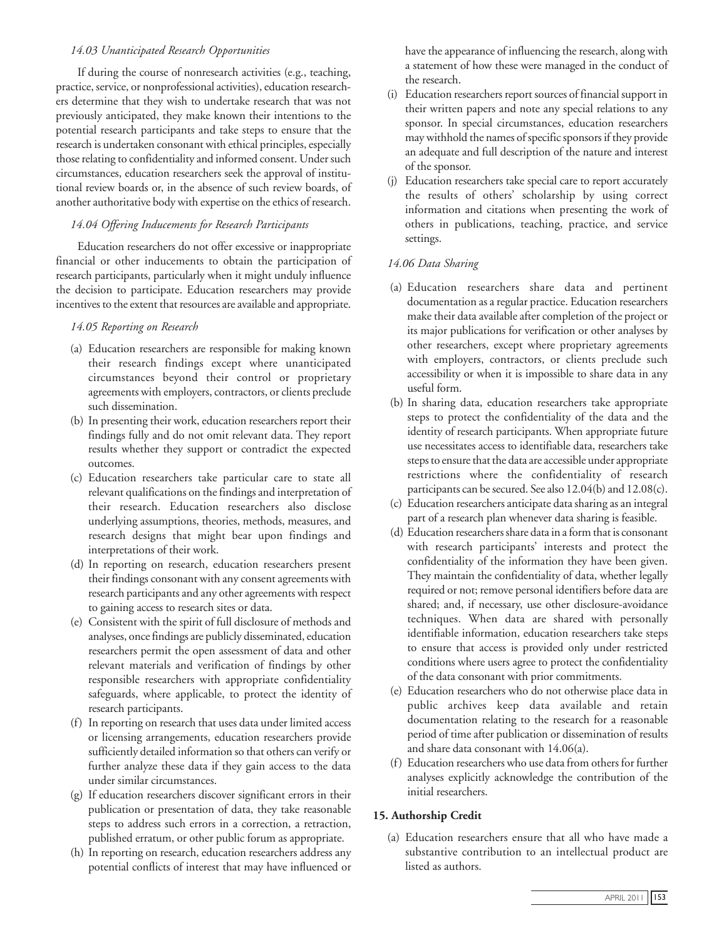## <span id="page-8-0"></span>*14.03 Unanticipated Research Opportunities*

If during the course of nonresearch activities (e.g., teaching, practice, service, or nonprofessional activities), education researchers determine that they wish to undertake research that was not previously anticipated, they make known their intentions to the potential research participants and take steps to ensure that the research is undertaken consonant with ethical principles, especially thoserelating to confidentiality and informed consent. Under such circumstances, education researchers seek the approval of institutional review boards or, in the absence of such review boards, of another authoritative body with expertise on the ethics of research.

# *14.04 Offering Inducements for Research Participants*

Education researchers do not offer excessive or inappropriate financial or other inducements to obtain the participation of research participants, particularly when it might unduly influence the decision to participate. Education researchers may provide incentives to the extent that resources are available and appropriate.

# *14.05 Reporting on Research*

- (a) Education researchers are responsible for making known their research findings except where unanticipated circumstances beyond their control or proprietary agreements with employers, contractors, or clients preclude such dissemination.
- (b) In presenting their work, education researchers report their findings fully and do not omit relevant data. They report results whether they support or contradict the expected outcomes.
- (c) Education researchers take particular care to state all relevant qualifications on the findings and interpretation of their research. Education researchers also disclose underlying assumptions, theories, methods, measures, and research designs that might bear upon findings and interpretations of their work.
- (d) In reporting on research, education researchers present their findings consonant with any consent agreements with research participants and any other agreements with respect to gaining access to research sites or data.
- (e) Consistent with the spirit of full disclosure of methods and analyses, once findings are publicly disseminated, education researchers permit the open assessment of data and other relevant materials and verification of findings by other responsible researchers with appropriate confidentiality safeguards, where applicable, to protect the identity of research participants.
- (f) In reporting on research that uses data under limited access or licensing arrangements, education researchers provide sufficiently detailed information so that others can verify or further analyze these data if they gain access to the data under similar circumstances.
- (g) If education researchers discover significant errors in their publication or presentation of data, they take reasonable steps to address such errors in a correction, a retraction, published erratum, or other public forum as appropriate.
- (h) In reporting on research, education researchers address any potential conflicts of interest that may have influenced or

have the appearance of influencing the research, along with a statement of how these were managed in the conduct of the research.

- (i) Education researchers report sources of financial support in their written papers and note any special relations to any sponsor. In special circumstances, education researchers may withhold the names of specific sponsors if they provide an adequate and full description of the nature and interest of the sponsor.
- (j) Education researchers take special care to report accurately the results of others' scholarship by using correct information and citations when presenting the work of others in publications, teaching, practice, and service settings.

# *14.06 Data Sharing*

- (a) Education researchers share data and pertinent documentation as a regular practice. Education researchers make their data available after completion of the project or its major publications for verification or other analyses by other researchers, except where proprietary agreements with employers, contractors, or clients preclude such accessibility or when it is impossible to share data in any useful form.
- (b) In sharing data, education researchers take appropriate steps to protect the confidentiality of the data and the identity of research participants. When appropriate future use necessitates access to identifiable data, researchers take steps to ensure that the data are accessible under appropriate restrictions where the confidentiality of research participants can besecured. See also 12.04(b) and 12.08(c).
- (c) Education researchers anticipate data sharing as an integral part of a research plan whenever data sharing is feasible.
- (d) Education researchers share data in a form that is consonant with research participants' interests and protect the confidentiality of the information they have been given. They maintain the confidentiality of data, whether legally required or not; remove personal identifiers before data are shared; and, if necessary, use other disclosure-avoidance techniques. When data are shared with personally identifiable information, education researchers take steps to ensure that access is provided only under restricted conditions where users agree to protect the confidentiality of the data consonant with prior commitments.
- (e) Education researchers who do not otherwise place data in public archives keep data available and retain documentation relating to the research for a reasonable period of time after publication or dissemination of results and share data consonant with 14.06(a).
- (f) Education researchers who use data from others for further analyses explicitly acknowledge the contribution of the initial researchers.

# **15. Authorship Credit**

(a) Education researchers ensure that all who have made a substantive contribution to an intellectual product are listed as authors.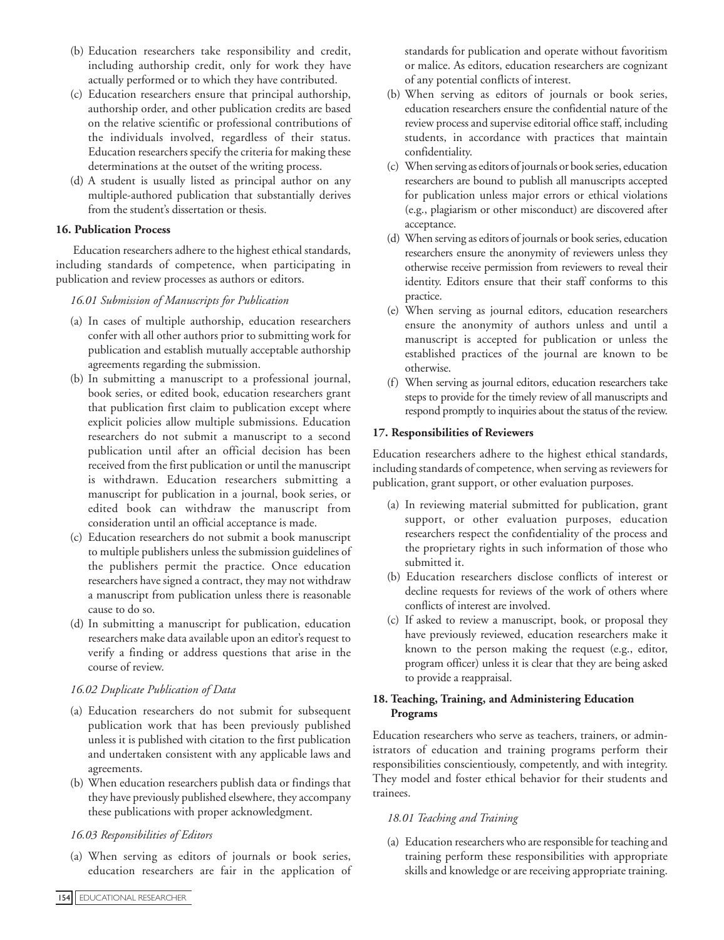- <span id="page-9-0"></span>(b) Education researchers take responsibility and credit, including authorship credit, only for work they have actually performed or to which they have contributed.
- (c) Education researchers ensure that principal authorship, authorship order, and other publication credits are based on the relative scientific or professional contributions of the individuals involved, regardless of their status. Education researchers specify the criteria for making these determinations at the outset of the writing process.
- (d) A student is usually listed as principal author on any multiple-authored publication that substantially derives from the student's dissertation or thesis.

## **16. Publication Process**

Education researchers adhere to the highest ethical standards, including standards of competence, when participating in publication and review processes as authors or editors.

#### *16.01 Submission of Manuscripts for Publication*

- (a) In cases of multiple authorship, education researchers confer with all other authors prior to submitting work for publication and establish mutually acceptable authorship agreements regarding the submission.
- (b) In submitting a manuscript to a professional journal, book series, or edited book, education researchers grant that publication first claim to publication except where explicit policies allow multiple submissions. Education researchers do not submit a manuscript to a second publication until after an official decision has been received from the first publication or until the manuscript is withdrawn. Education researchers submitting a manuscript for publication in a journal, book series, or edited book can withdraw the manuscript from consideration until an official acceptance is made.
- (c) Education researchers do not submit a book manuscript to multiple publishers unless the submission guidelines of the publishers permit the practice. Once education researchers have signed a contract, they may not withdraw a manuscript from publication unless there is reasonable cause to do so.
- (d) In submitting a manuscript for publication, education researchers make data available upon an editor's request to verify a finding or address questions that arise in the course of review.

#### *16.02 Duplicate Publication of Data*

- (a) Education researchers do not submit for subsequent publication work that has been previously published unless it is published with citation to the first publication and undertaken consistent with any applicable laws and agreements.
- (b) When education researchers publish data or findings that they have previously published elsewhere, they accompany these publications with proper acknowledgment.

## *16.03 Responsibilities of Editors*

(a) When serving as editors of journals or book series, education researchers are fair in the application of standards for publication and operate without favoritism or malice. As editors, education researchers are cognizant of any potential conflicts of interest.

- (b) When serving as editors of journals or book series, education researchers ensure the confidential nature of the review process and supervise editorial office staff, including students, in accordance with practices that maintain confidentiality.
- (c) When serving as editors of journals or book series, education researchers are bound to publish all manuscripts accepted for publication unless major errors or ethical violations (e.g., plagiarism or other misconduct) are discovered after acceptance.
- (d) When serving as editors of journals or book series, education researchers ensure the anonymity of reviewers unless they otherwise receive permission from reviewers to reveal their identity. Editors ensure that their staff conforms to this practice.
- (e) When serving as journal editors, education researchers ensure the anonymity of authors unless and until a manuscript is accepted for publication or unless the established practices of the journal are known to be otherwise.
- (f) When serving as journal editors, education researchers take steps to provide for the timely review of all manuscripts and respond promptly to inquiries about the status of the review.

#### **17. Responsibilities of Reviewers**

Education researchers adhere to the highest ethical standards, including standards of competence, when serving as reviewers for publication, grant support, or other evaluation purposes.

- (a) In reviewing material submitted for publication, grant support, or other evaluation purposes, education researchers respect the confidentiality of the process and the proprietary rights in such information of those who submitted it.
- (b) Education researchers disclose conflicts of interest or decline requests for reviews of the work of others where conflicts of interest are involved.
- (c) If asked to review a manuscript, book, or proposal they have previously reviewed, education researchers make it known to the person making the request (e.g., editor, program officer) unless it is clear that they are being asked to provide a reappraisal.

#### **18. Teaching, Training, and Administering Education Programs**

Education researchers who serve as teachers, trainers, or administrators of education and training programs perform their responsibilities conscientiously, competently, and with integrity. They model and foster ethical behavior for their students and trainees.

## *18.01 Teaching and Training*

(a) Education researchers who are responsible for teaching and training perform these responsibilities with appropriate skills and knowledge or are receiving appropriate training.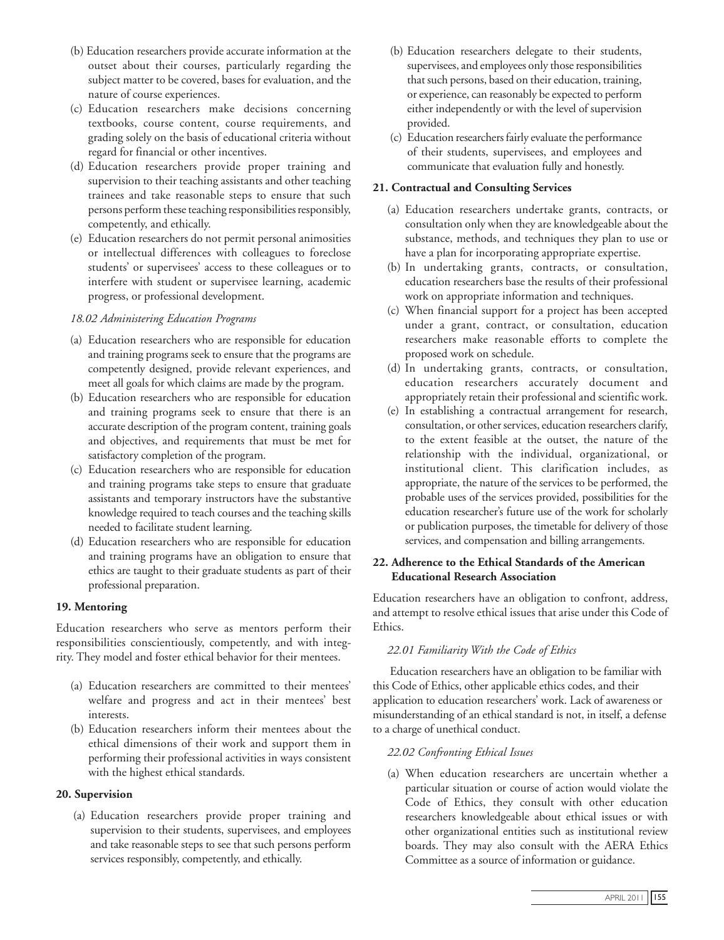- <span id="page-10-0"></span>(b) Education researchers provide accurate information at the outset about their courses, particularly regarding the subject matter to be covered, bases for evaluation, and the nature of course experiences.
- (c) Education researchers make decisions concerning textbooks, course content, course requirements, and grading solely on the basis of educational criteria without regard for financial or other incentives.
- (d) Education researchers provide proper training and supervision to their teaching assistants and other teaching trainees and take reasonable steps to ensure that such persons perform these teaching responsibilities responsibly, competently, and ethically.
- (e) Education researchers do not permit personal animosities or intellectual differences with colleagues to foreclose students' or supervisees' access to these colleagues or to interfere with student or supervisee learning, academic progress, or professional development.

#### *18.02 Administering Education Programs*

- (a) Education researchers who are responsible for education and training programs seek to ensure that the programs are competently designed, provide relevant experiences, and meet all goals for which claims are made by the program.
- (b) Education researchers who are responsible for education and training programs seek to ensure that there is an accurate description of the program content, training goals and objectives, and requirements that must be met for satisfactory completion of the program.
- (c) Education researchers who are responsible for education and training programs take steps to ensure that graduate assistants and temporary instructors have the substantive knowledge required to teach courses and the teaching skills needed to facilitate student learning.
- (d) Education researchers who are responsible for education and training programs have an obligation to ensure that ethics are taught to their graduate students as part of their professional preparation.

## **19. Mentoring**

Education researchers who serve as mentors perform their responsibilities conscientiously, competently, and with integrity. They model and foster ethical behavior for their mentees.

- (a) Education researchers are committed to their mentees' welfare and progress and act in their mentees' best interests.
- (b) Education researchers inform their mentees about the ethical dimensions of their work and support them in performing their professional activities in ways consistent with the highest ethical standards.

## **20. Supervision**

(a) Education researchers provide proper training and supervision to their students, supervisees, and employees and take reasonable steps to see that such persons perform services responsibly, competently, and ethically.

- (b) Education researchers delegate to their students, supervisees, and employees only those responsibilities that such persons, based on their education, training, or experience, can reasonably be expected to perform either independently or with the level of supervision provided.
- (c) Education researchers fairly evaluate the performance of their students, supervisees, and employees and communicate that evaluation fully and honestly.

# **21. Contractual and Consulting Services**

- (a) Education researchers undertake grants, contracts, or consultation only when they are knowledgeable about the substance, methods, and techniques they plan to use or have a plan for incorporating appropriate expertise.
- (b) In undertaking grants, contracts, or consultation, education researchers base the results of their professional work on appropriate information and techniques.
- (c) When financial support for a project has been accepted under a grant, contract, or consultation, education researchers make reasonable efforts to complete the proposed work on schedule.
- (d) In undertaking grants, contracts, or consultation, education researchers accurately document and appropriately retain their professional and scientific work.
- (e) In establishing a contractual arrangement for research, consultation, or other services, education researchers clarify, to the extent feasible at the outset, the nature of the relationship with the individual, organizational, or institutional client. This clarification includes, as appropriate, the nature of the services to be performed, the probable uses of the services provided, possibilities for the education researcher's future use of the work for scholarly or publication purposes, the timetable for delivery of those services, and compensation and billing arrangements.

## **22. Adherence to the Ethical Standards of the American Educational Research Association**

Education researchers have an obligation to confront, address, and attempt to resolve ethical issues that arise under this Code of Ethics.

## *22.01 Familiarity With the Code of Ethics*

Education researchers have an obligation to be familiar with this Code of Ethics, other applicable ethics codes, and their application to education researchers' work. Lack of awareness or misunderstanding of an ethical standard is not, in itself, a defense to a charge of unethical conduct.

## *22.02 Confronting Ethical Issues*

(a) When education researchers are uncertain whether a particular situation or course of action would violate the Code of Ethics, they consult with other education researchers knowledgeable about ethical issues or with other organizational entities such as institutional review boards. They may also consult with the AERA Ethics Committee as a source of information or guidance.